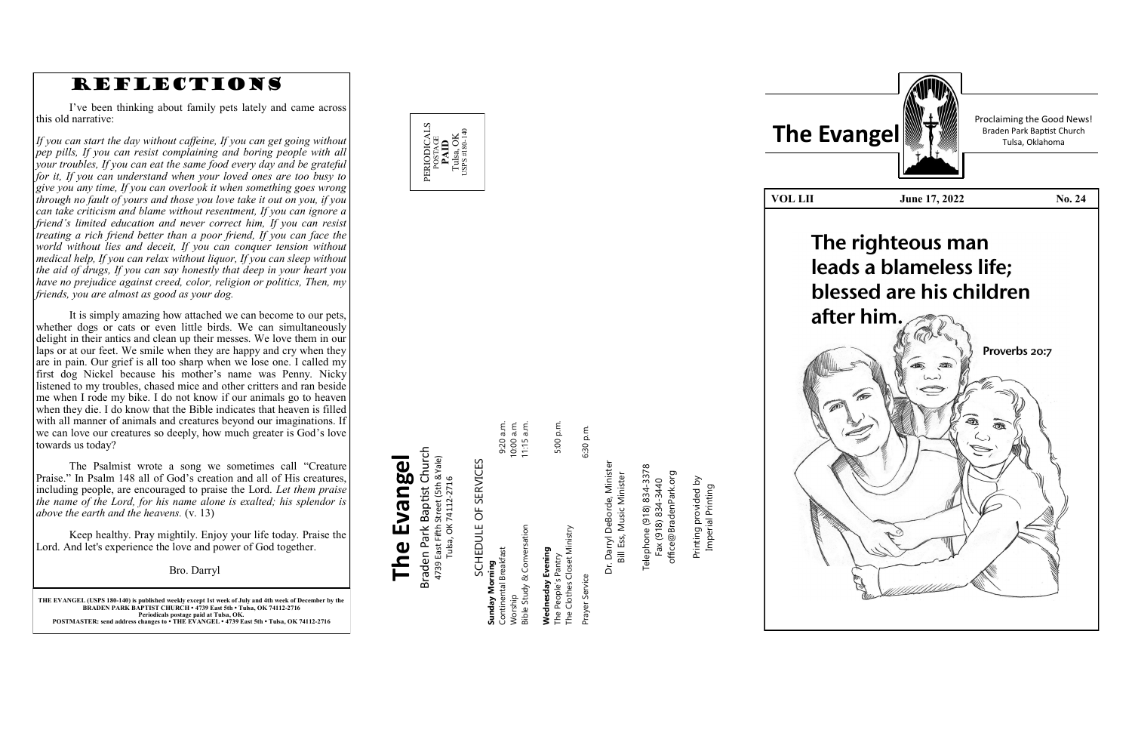

**THE EVANGEL (USPS 180 -140) is published weekly except 1st week of July and 4th week of December by the BRADEN PARK BAPTIST CHURCH • 4739 East 5th • Tulsa, OK 74112 -2716 Periodicals postage paid at Tulsa, OK. POSTMASTER: send address changes to • THE EVANGEL • 4739 East 5th • Tulsa, OK 74112 -2716**

Braden Park Baptist Church<br>4739 East Fifth Street (5th &Yale)<br>Tulsa, OK 74112-2716 Braden Park Baptist Church **The Evangel** 4739 East Fifth Street (5th &Yale) The Evangel Tulsa, OK 74112-2716

SCHEDULE OF SERVICES SCHEDULE OF SERVICES

5:00 p.m. 9:20 a.m.<br>10:00 a.m.<br>11:15 a.m. Continental Breakfast 9:20 a.m. Worship 10:00 a.m. Bible Study & Conversation 11:15 a.m. The People's Pantry 5:00 p.m. **Sible Study & Conversation iunday Morning**<br>Continental Breakfast **Wednesday Evening Sunday Morning** orship

Prayer Service 6:30 p.m. **Wednesday Evening**<br>The People's Pantry<br>The Clothes Closet Ministry The Clothes Closet Ministry Prayer Service

6:30 p.m.



Telephone (918) 834-3378<br>Fax (918) 834-3440<br>office@BradenPark.org Telephone (918) 834-3378 office@BradenPark.org Fax (918) 834-3440

rinting provided by<br>Imperial Printing Printing provided by Imperial Printing Printing

Dr. Darryl DeBorde, Minister Dr. Darryl DeBorde, Ministe<br>Bill Ess, Music Minister Bill Ess, Music Minister Proclaiming the Good News!



# REFLECTIONS

I've been thinking about family pets lately and came across this old narrative:

*If you can start the day without caffeine, If you can get going without pep pills, If you can resist complaining and boring people with all your troubles, If you can eat the same food every day and be grateful for it, If you can understand when your loved ones are too busy to give you any time, If you can overlook it when something goes wrong through no fault of yours and those you love take it out on you, if you can take criticism and blame without resentment, If you can ignore a friend 's limited education and never correct him, If you can resist treating a rich friend better than a poor friend, If you can face the world without lies and deceit, If you can conquer tension without medical help, If you can relax without liquor, If you can sleep without the aid of drugs, If you can say honestly that deep in your heart you have no prejudice against creed, color, religion or politics, Then, my friends, you are almost as good as your dog.*

It is simply amazing how attached we can become to our pets, whether dogs or cats or even little birds. We can simultaneously delight in their antics and clean up their messes. We love them in our laps or at our feet. We smile when they are happy and cry when they are in pain. Our grief is all too sharp when we lose one. I called my first dog Nickel because his mother 's name was Penny. Nicky listened to my troubles, chased mice and other critters and ran beside me when I rode my bike. I do not know if our animals go to heaven when they die. I do know that the Bible indicates that heaven is filled with all manner of animals and creatures beyond our imaginations. If we can love our creatures so deeply, how much greater is God 's love towards us today?

The Psalmist wrote a song we sometimes call "Creature Praise." In Psalm 148 all of God 's creation and all of His creatures, including people, are encouraged to praise the Lord. *Let them praise the name of the Lord, for his name alone is exalted; his splendor is above the earth and the heavens.* (v. 13)

Keep healthy. Pray mightily. Enjoy your life today. Praise the Lord. And let's experience the love and power of God together.

Bro. Darryl